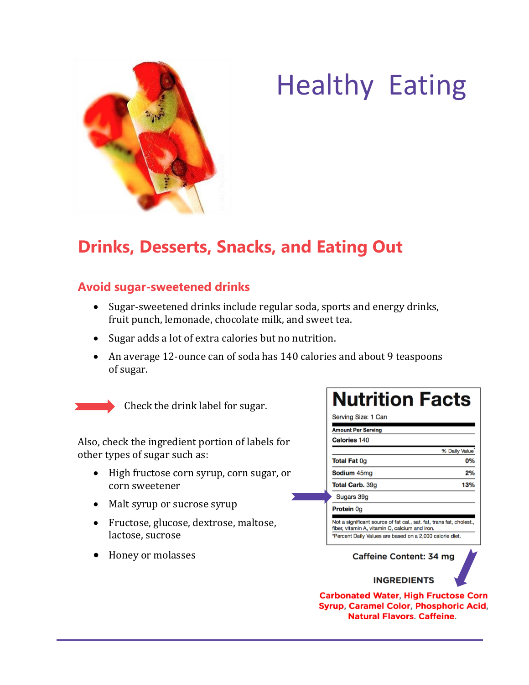

# Healthy Eating

# **Drinks, Desserts, Snacks, and Eating Out**

#### **Avoid sugar-sweetened drinks**

- Sugar-sweetened drinks include regular soda, sports and energy drinks, fruit punch, lemonade, chocolate milk, and sweet tea.
- Sugar adds a lot of extra calories but no nutrition.
- An average 12-ounce can of soda has 140 calories and about 9 teaspoons of sugar.



Check the drink label for sugar.

Also, check the ingredient portion of labels for other types of sugar such as:

- High fructose corn syrup, corn sugar, or corn sweetener
- Malt syrup or sucrose syrup
- Fructose, glucose, dextrose, maltose, lactose, sucrose
- Honey or molasses

### **Nutrition Facts** Serving Size: 1 Can

| <b>Amount Per Serving</b>                                                                                              |               |
|------------------------------------------------------------------------------------------------------------------------|---------------|
| <b>Calories 140</b>                                                                                                    |               |
|                                                                                                                        | % Daily Value |
| <b>Total Fat Og</b>                                                                                                    | 0%            |
| <b>Sodium</b> 45mg                                                                                                     | 2%            |
| <b>Total Carb.</b> 39g                                                                                                 | 13%           |
| Sugars 39g                                                                                                             |               |
| <b>Protein Og</b>                                                                                                      |               |
| Not a significant source of fat cal., sat. fat, trans fat, cholest.,<br>fiber, vitamin A, vitamin C, calcium and iron. |               |
| *Percent Daily Values are based on a 2,000 calorie diet.                                                               |               |

#### Caffeine Content: 34 mg

#### **INGREDIENTS**

**Carbonated Water, High Fructose Corn** Syrup, Caramel Color, Phosphoric Acid, **Natural Flavors, Caffeine.**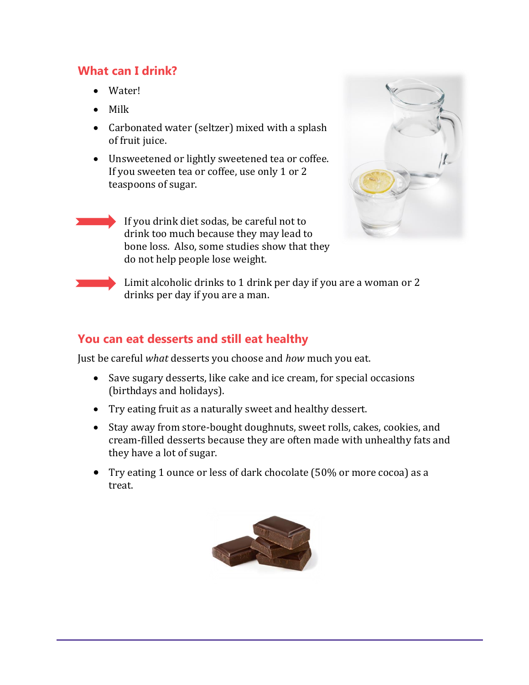#### **What can I drink?**

- Water!
- Milk
- Carbonated water (seltzer) mixed with a splash of fruit juice.
- Unsweetened or lightly sweetened tea or coffee. If you sweeten tea or coffee, use only 1 or 2 teaspoons of sugar.

If you drink diet sodas, be careful not to drink too much because they may lead to bone loss. Also, some studies show that they do not help people lose weight.



Limit alcoholic drinks to 1 drink per day if you are a woman or 2 drinks per day if you are a man.

#### **You can eat desserts and still eat healthy**

Just be careful *what* desserts you choose and *how* much you eat.

- Save sugary desserts, like cake and ice cream, for special occasions (birthdays and holidays).
- Try eating fruit as a naturally sweet and healthy dessert.
- Stay away from store-bought doughnuts, sweet rolls, cakes, cookies, and cream-filled desserts because they are often made with unhealthy fats and they have a lot of sugar.
- Try eating 1 ounce or less of dark chocolate (50% or more cocoa) as a treat.

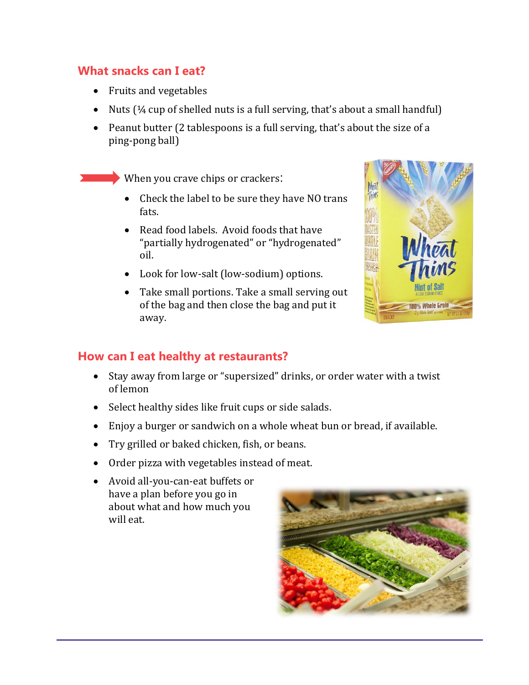#### **What snacks can I eat?**

- Fruits and vegetables
- Nuts  $(1/4$  cup of shelled nuts is a full serving, that's about a small handful)
- Peanut butter (2 tablespoons is a full serving, that's about the size of a ping-pong ball)

When you crave chips or crackers:

- Check the label to be sure they have NO trans fats.
- Read food labels. Avoid foods that have "partially hydrogenated" or "hydrogenated" oil.
- Look for low-salt (low-sodium) options.
- Take small portions. Take a small serving out of the bag and then close the bag and put it away.



#### **How can I eat healthy at restaurants?**

- Stay away from large or "supersized" drinks, or order water with a twist of lemon
- Select healthy sides like fruit cups or side salads.
- Enjoy a burger or sandwich on a whole wheat bun or bread, if available.
- Try grilled or baked chicken, fish, or beans.
- Order pizza with vegetables instead of meat.
- Avoid all-you-can-eat buffets or have a plan before you go in about what and how much you will eat.

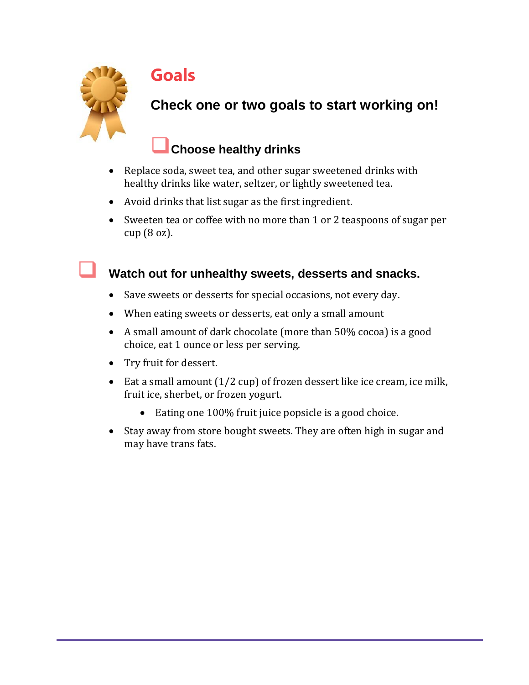

# **Goals**

## **Check one or two goals to start working on!**

## **Choose healthy drinks**

- Replace soda, sweet tea, and other sugar sweetened drinks with healthy drinks like water, seltzer, or lightly sweetened tea.
- Avoid drinks that list sugar as the first ingredient.
- Sweeten tea or coffee with no more than 1 or 2 teaspoons of sugar per cup (8 oz).

#### **Watch out for unhealthy sweets, desserts and snacks.**

- Save sweets or desserts for special occasions, not every day.
- When eating sweets or desserts, eat only a small amount
- A small amount of dark chocolate (more than 50% cocoa) is a good choice, eat 1 ounce or less per serving.
- Try fruit for dessert.
- Eat a small amount  $(1/2 \text{ cup})$  of frozen dessert like ice cream, ice milk, fruit ice, sherbet, or frozen yogurt.
	- Eating one 100% fruit juice popsicle is a good choice.
- Stay away from store bought sweets. They are often high in sugar and may have trans fats.